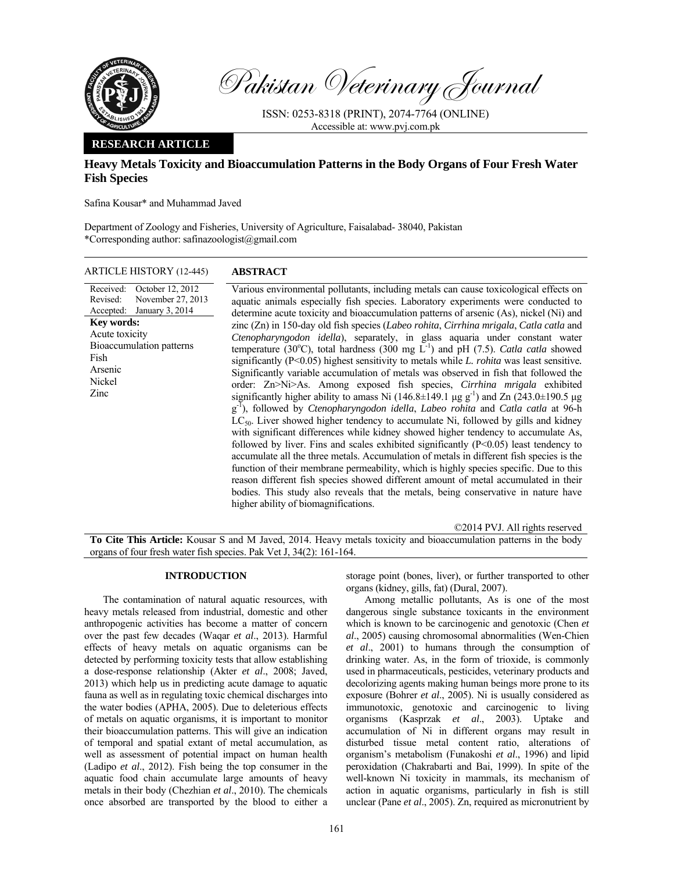

Pakistan Veterinary Journal

ISSN: 0253-8318 (PRINT), 2074-7764 (ONLINE) Accessible at: www.pvj.com.pk

## **RESEARCH ARTICLE**

# **Heavy Metals Toxicity and Bioaccumulation Patterns in the Body Organs of Four Fresh Water Fish Species**

Safina Kousar\* and Muhammad Javed

Department of Zoology and Fisheries, University of Agriculture, Faisalabad- 38040, Pakistan \*Corresponding author: safinazoologist@gmail.com

ARTICLE HISTORY (12-445) **ABSTRACT** 

Received: Revised: Accepted: October 12, 2012 November 27, 2013 January 3, 2014 **Key words:**  Acute toxicity Bioaccumulation patterns Fish Arsenic Nickel Zinc

 Various environmental pollutants, including metals can cause toxicological effects on aquatic animals especially fish species. Laboratory experiments were conducted to determine acute toxicity and bioaccumulation patterns of arsenic (As), nickel (Ni) and zinc (Zn) in 150-day old fish species (*Labeo rohita*, *Cirrhina mrigala*, *Catla catla* and *Ctenopharyngodon idella*), separately, in glass aquaria under constant water temperature (30°C), total hardness (300 mg  $\overline{L}^{-1}$ ) and pH (7.5). *Catla catla* showed significantly (P<0.05) highest sensitivity to metals while *L. rohita* was least sensitive. Significantly variable accumulation of metals was observed in fish that followed the order: Zn>Ni>As. Among exposed fish species, *Cirrhina mrigala* exhibited significantly higher ability to amass Ni ( $146.8 \pm 149.1$  µg g<sup>-1</sup>) and Zn ( $243.0 \pm 190.5$  µg g-1), followed by *Ctenopharyngodon idella*, *Labeo rohita* and *Catla catla* at 96-h  $LC_{50}$ . Liver showed higher tendency to accumulate Ni, followed by gills and kidney with significant differences while kidney showed higher tendency to accumulate As, followed by liver. Fins and scales exhibited significantly  $(P<0.05)$  least tendency to accumulate all the three metals. Accumulation of metals in different fish species is the function of their membrane permeability, which is highly species specific. Due to this reason different fish species showed different amount of metal accumulated in their bodies. This study also reveals that the metals, being conservative in nature have higher ability of biomagnifications.

©2014 PVJ. All rights reserved

**To Cite This Article:** Kousar S and M Javed, 2014. Heavy metals toxicity and bioaccumulation patterns in the body organs of four fresh water fish species. Pak Vet J, 34(2): 161-164.

## **INTRODUCTION**

The contamination of natural aquatic resources, with heavy metals released from industrial, domestic and other anthropogenic activities has become a matter of concern over the past few decades (Waqar *et al*., 2013). Harmful effects of heavy metals on aquatic organisms can be detected by performing toxicity tests that allow establishing a dose-response relationship (Akter *et al*., 2008; Javed, 2013) which help us in predicting acute damage to aquatic fauna as well as in regulating toxic chemical discharges into the water bodies (APHA, 2005). Due to deleterious effects of metals on aquatic organisms, it is important to monitor their bioaccumulation patterns. This will give an indication of temporal and spatial extant of metal accumulation, as well as assessment of potential impact on human health (Ladipo *et al*., 2012). Fish being the top consumer in the aquatic food chain accumulate large amounts of heavy metals in their body (Chezhian *et al*., 2010). The chemicals once absorbed are transported by the blood to either a

storage point (bones, liver), or further transported to other organs (kidney, gills, fat) (Dural, 2007).

Among metallic pollutants, As is one of the most dangerous single substance toxicants in the environment which is known to be carcinogenic and genotoxic (Chen *et al*., 2005) causing chromosomal abnormalities (Wen-Chien *et al*., 2001) to humans through the consumption of drinking water. As, in the form of trioxide, is commonly used in pharmaceuticals, pesticides, veterinary products and decolorizing agents making human beings more prone to its exposure (Bohrer *et al*., 2005). Ni is usually considered as immunotoxic, genotoxic and carcinogenic to living organisms (Kasprzak *et al*., 2003). Uptake and accumulation of Ni in different organs may result in disturbed tissue metal content ratio, alterations of organism's metabolism (Funakoshi *et al*., 1996) and lipid peroxidation (Chakrabarti and Bai, 1999). In spite of the well-known Ni toxicity in mammals, its mechanism of action in aquatic organisms, particularly in fish is still unclear (Pane *et al*., 2005). Zn, required as micronutrient by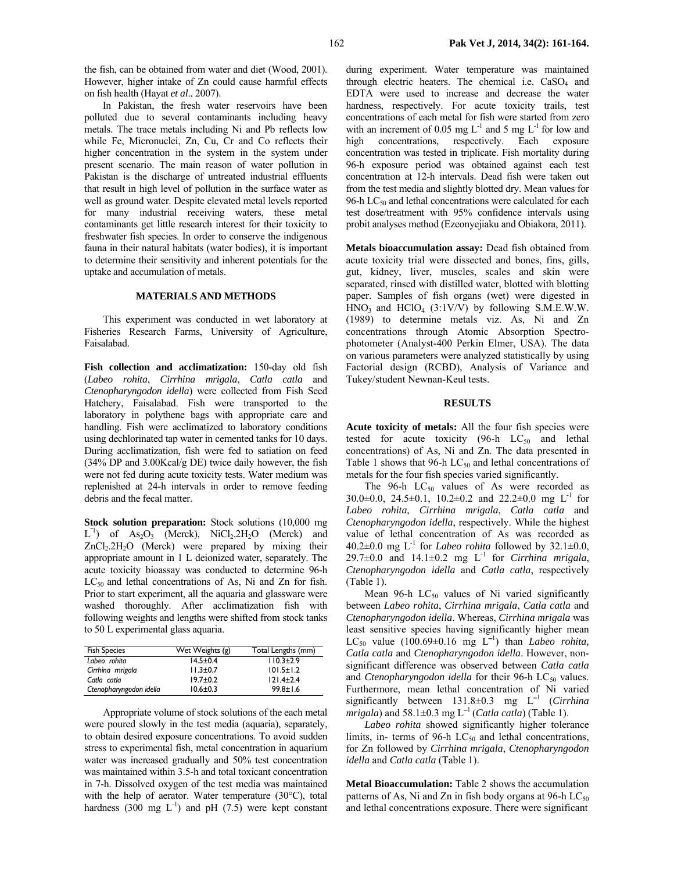the fish, can be obtained from water and diet (Wood, 2001). However, higher intake of Zn could cause harmful effects on fish health (Hayat *et al*., 2007).

In Pakistan, the fresh water reservoirs have been polluted due to several contaminants including heavy metals. The trace metals including Ni and Pb reflects low while Fe, Micronuclei, Zn, Cu, Cr and Co reflects their higher concentration in the system in the system under present scenario. The main reason of water pollution in Pakistan is the discharge of untreated industrial effluents that result in high level of pollution in the surface water as well as ground water. Despite elevated metal levels reported for many industrial receiving waters, these metal contaminants get little research interest for their toxicity to freshwater fish species. In order to conserve the indigenous fauna in their natural habitats (water bodies), it is important to determine their sensitivity and inherent potentials for the uptake and accumulation of metals.

### **MATERIALS AND METHODS**

This experiment was conducted in wet laboratory at Fisheries Research Farms, University of Agriculture, Faisalabad.

Fish collection and acclimatization: 150-day old fish (*Labeo rohita*, *Cirrhina mrigala*, *Catla catla* and *Ctenopharyngodon idella*) were collected from Fish Seed Hatchery, Faisalabad. Fish were transported to the laboratory in polythene bags with appropriate care and handling. Fish were acclimatized to laboratory conditions using dechlorinated tap water in cemented tanks for 10 days. During acclimatization, fish were fed to satiation on feed (34% DP and 3.00Kcal/g DE) twice daily however, the fish were not fed during acute toxicity tests. Water medium was replenished at 24-h intervals in order to remove feeding debris and the fecal matter.

**Stock solution preparation:** Stock solutions (10,000 mg  $L^{-1}$ ) of  $As_2O_3$  (Merck), NiCl<sub>2</sub>.2H<sub>2</sub>O (Merck) and  $ZnCl<sub>2</sub>.2H<sub>2</sub>O$  (Merck) were prepared by mixing their appropriate amount in 1 L deionized water, separately. The acute toxicity bioassay was conducted to determine 96-h  $LC_{50}$  and lethal concentrations of As, Ni and Zn for fish. Prior to start experiment, all the aquaria and glassware were washed thoroughly. After acclimatization fish with following weights and lengths were shifted from stock tanks to 50 L experimental glass aquaria.

| <b>Fish Species</b>     | Wet Weights (g) | Total Lengths (mm) |
|-------------------------|-----------------|--------------------|
| Labeo rohita            | $14.5 \pm 0.4$  | $110.3 + 2.9$      |
| Cirrhina mrigala        | $11.3 \pm 0.7$  | $101.5 \pm 1.2$    |
| Catla catla             | $19.7 \pm 0.2$  | $121.4 \pm 2.4$    |
| Ctenopharyngodon idella | $10.6 \pm 0.3$  | $99.8 \pm 1.6$     |

Appropriate volume of stock solutions of the each metal were poured slowly in the test media (aquaria), separately, to obtain desired exposure concentrations. To avoid sudden stress to experimental fish, metal concentration in aquarium water was increased gradually and 50% test concentration was maintained within 3.5-h and total toxicant concentration in 7-h. Dissolved oxygen of the test media was maintained with the help of aerator. Water temperature (30°C), total hardness (300 mg  $L^{-1}$ ) and pH (7.5) were kept constant

during experiment. Water temperature was maintained through electric heaters. The chemical i.e.  $CaSO<sub>4</sub>$  and EDTA were used to increase and decrease the water hardness, respectively. For acute toxicity trails, test concentrations of each metal for fish were started from zero with an increment of 0.05 mg  $L^{-1}$  and 5 mg  $L^{-1}$  for low and high concentrations, respectively. Each exposure concentration was tested in triplicate. Fish mortality during 96-h exposure period was obtained against each test concentration at 12-h intervals. Dead fish were taken out from the test media and slightly blotted dry. Mean values for 96-h  $LC_{50}$  and lethal concentrations were calculated for each test dose/treatment with 95% confidence intervals using probit analyses method (Ezeonyejiaku and Obiakora, 2011).

**Metals bioaccumulation assay:** Dead fish obtained from acute toxicity trial were dissected and bones, fins, gills, gut, kidney, liver, muscles, scales and skin were separated, rinsed with distilled water, blotted with blotting paper. Samples of fish organs (wet) were digested in  $HNO<sub>3</sub>$  and  $HClO<sub>4</sub>$  (3:1V/V) by following S.M.E.W.W. (1989) to determine metals viz. As, Ni and Zn concentrations through Atomic Absorption Spectrophotometer (Analyst-400 Perkin Elmer, USA). The data on various parameters were analyzed statistically by using Factorial design (RCBD), Analysis of Variance and Tukey/student Newnan-Keul tests.

### **RESULTS**

**Acute toxicity of metals:** All the four fish species were tested for acute toxicity (96-h  $LC_{50}$  and lethal concentrations) of As, Ni and Zn. The data presented in Table 1 shows that 96-h  $LC_{50}$  and lethal concentrations of metals for the four fish species varied significantly.

The  $96-h$  LC<sub>50</sub> values of As were recorded as 30.0 $\pm$ 0.0, 24.5 $\pm$ 0.1, 10.2 $\pm$ 0.2 and 22.2 $\pm$ 0.0 mg L<sup>-1</sup> for *Labeo rohita*, *Cirrhina mrigala*, *Catla catla* and *Ctenopharyngodon idella*, respectively. While the highest value of lethal concentration of As was recorded as 40.2 $\pm$ 0.0 mg L<sup>-1</sup> for *Labeo rohita* followed by 32.1 $\pm$ 0.0, 29.7 $\pm$ 0.0 and 14.1 $\pm$ 0.2 mg L<sup>-1</sup> for *Cirrhina mrigala*, *Ctenopharyngodon idella* and *Catla catla*, respectively (Table 1).

Mean 96-h  $LC_{50}$  values of Ni varied significantly between *Labeo rohita*, *Cirrhina mrigala*, *Catla catla* and *Ctenopharyngodon idella*. Whereas, *Cirrhina mrigala* was least sensitive species having significantly higher mean LC<sub>50</sub> value  $(100.69 \pm 0.16$  mg L<sup>-1</sup>) than *Labeo rohita*, *Catla catla* and *Ctenopharyngodon idella*. However, nonsignificant difference was observed between *Catla catla* and *Ctenopharyngodon idella* for their 96-h LC<sub>50</sub> values. Furthermore, mean lethal concentration of Ni varied significantly between  $131.8 \pm 0.3$  mg  $L^{-1}$  (*Cirrhina*  $mrigala$ ) and 58.1±0.3 mg  $L^{-1}$  (*Catla catla*) (Table 1).

*Labeo rohita* showed significantly higher tolerance limits, in- terms of 96-h  $LC_{50}$  and lethal concentrations, for Zn followed by *Cirrhina mrigala*, *Ctenopharyngodon idella* and *Catla catla* (Table 1).

**Metal Bioaccumulation:** Table 2 shows the accumulation patterns of As, Ni and Zn in fish body organs at 96-h  $LC_{50}$ and lethal concentrations exposure. There were significant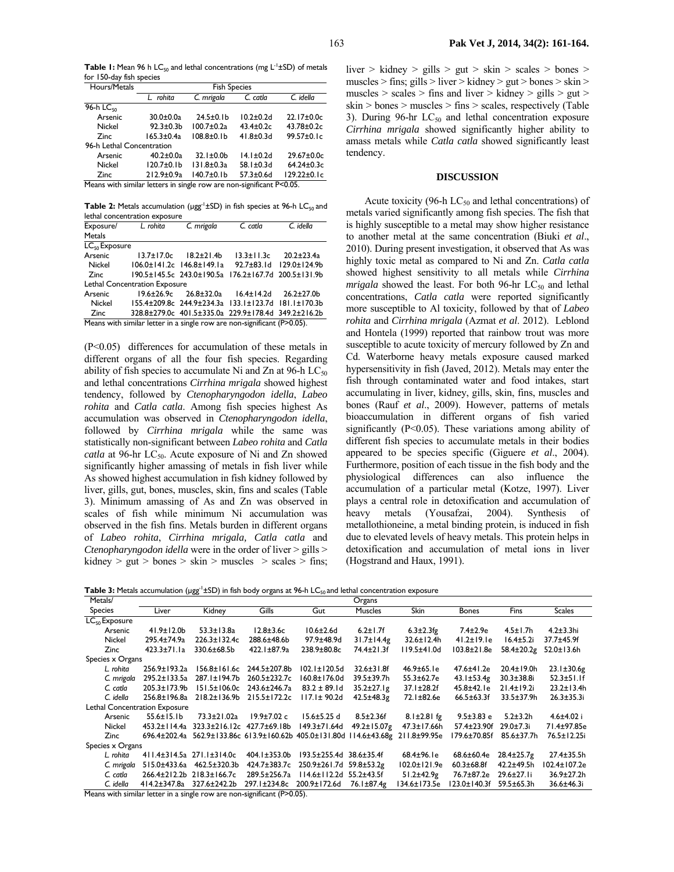Table 1: Mean 96 h LC<sub>50</sub> and lethal concentrations (mg L<sup>-1</sup>±SD) of metals for 150-day fish species

| Hours/Metals                                                              | <b>Fish Species</b> |                        |                  |                   |  |  |
|---------------------------------------------------------------------------|---------------------|------------------------|------------------|-------------------|--|--|
|                                                                           | L rohita            | C. catla<br>C. mrigala |                  | C. idella         |  |  |
| $96-h$ LC <sub>so</sub>                                                   |                     |                        |                  |                   |  |  |
| Arsenic                                                                   | $30.0 \pm 0.0a$     | $24.5 \pm 0.1 b$       | $10.2 + 0.2d$    | 22.17±0.0c        |  |  |
| Nickel                                                                    | $92.3 + 0.3$        | $100.7 + 0.2a$         | $43.4 \pm 0.2c$  | 43.78±0.2c        |  |  |
| Zinc                                                                      | $165.3 \pm 0.4a$    | $108.8 + 0.1b$         | $41.8 \pm 0.3$ d | $99.57 \pm 0.1c$  |  |  |
| 96-h Lethal Concentration                                                 |                     |                        |                  |                   |  |  |
| Arsenic                                                                   | $40.2 \pm 0.0a$     | $32.1 \pm 0.0$         | $14.1 \pm 0.2$ d | 29.67±0.0c        |  |  |
| Nickel                                                                    | $120.7 \pm 0.1 b$   | 131.8±0.3a             | $58.1 \pm 0.3$ d | 64.24±0.3c        |  |  |
| Zinc                                                                      | $212.9 \pm 0.9a$    | $140.7 + 0.1b$         | $57.3 + 0.6d$    | $129.22 \pm 0.1c$ |  |  |
| Means with similar letters in single row are non-significant $P \le 0.05$ |                     |                        |                  |                   |  |  |

Means with similar letters in single row are non-significant P<0.05.

**Table 2:** Metals accumulation (µgg<sup>-1</sup>±SD) in fish species at 96-h LC<sub>50</sub> and lethal concentration exposure

| Exposure/                                                               | L. rohita  | C. mrigala                            | $Cc$ catla                                          | C. idella                 |  |  |
|-------------------------------------------------------------------------|------------|---------------------------------------|-----------------------------------------------------|---------------------------|--|--|
| <b>Metals</b>                                                           |            |                                       |                                                     |                           |  |  |
| LC <sub>so</sub> Exposure                                               |            |                                       |                                                     |                           |  |  |
| Arsenic                                                                 | 13.7±17.0c | $18.2 \pm 21.4$                       | $13.3 \pm 11.3c$                                    | $20.2 \pm 23.4$ a         |  |  |
| Nickel                                                                  |            | $106.0 \pm 141.2c$ $146.8 \pm 149.1a$ |                                                     | 92.7±83.1d 129.0±124.9b   |  |  |
| Zinc                                                                    |            | 190.5±145.5c 243.0±190.5a             |                                                     | 176.2±167.7d 200.5±131.9b |  |  |
| Lethal Concentration Exposure                                           |            |                                       |                                                     |                           |  |  |
| Arsenic                                                                 |            | $19.6 \pm 26.9c$ $26.8 \pm 32.0a$     | $16.4 \pm 14.2$ d                                   | $26.2 \pm 27.0$ b         |  |  |
| Nickel                                                                  |            |                                       | 155.4±209.8c 244.9±234.3a 133.1±123.7d 181.1±170.3b |                           |  |  |
| Zinc                                                                    |            |                                       | 328.8±279.0c 401.5±335.0a 229.9±178.4d 349.2±216.2b |                           |  |  |
| Means with similar letter in a single row are non-significant (P>0.05). |            |                                       |                                                     |                           |  |  |

(P<0.05) differences for accumulation of these metals in different organs of all the four fish species. Regarding ability of fish species to accumulate Ni and Zn at 96-h  $LC_{50}$ and lethal concentrations *Cirrhina mrigala* showed highest tendency, followed by *Ctenopharyngodon idella*, *Labeo rohita* and *Catla catla*. Among fish species highest As accumulation was observed in *Ctenopharyngodon idella*, followed by *Cirrhina mrigala* while the same was statistically non-significant between *Labeo rohita* and *Catla catla* at 96-hr LC<sub>50</sub>. Acute exposure of Ni and Zn showed significantly higher amassing of metals in fish liver while As showed highest accumulation in fish kidney followed by liver, gills, gut, bones, muscles, skin, fins and scales (Table 3). Minimum amassing of As and Zn was observed in scales of fish while minimum Ni accumulation was observed in the fish fins. Metals burden in different organs of *Labeo rohita*, *Cirrhina mrigala, Catla catla* and *Ctenopharyngodon idella* were in the order of liver > gills >  $kidney > gut > bones > skin > muscles > scales > fins;$ 

liver > kidney > gills > gut > skin > scales > bones > muscles > fins; gills > liver > kidney > gut > bones > skin > muscles  $>$  scales  $>$  fins and liver  $>$  kidney  $>$  gills  $>$  gut  $>$ skin > bones > muscles > fins > scales, respectively (Table 3). During 96-hr  $LC_{50}$  and lethal concentration exposure *Cirrhina mrigala* showed significantly higher ability to amass metals while *Catla catla* showed significantly least tendency.

### **DISCUSSION**

Acute toxicity (96-h  $LC_{50}$  and lethal concentrations) of metals varied significantly among fish species. The fish that is highly susceptible to a metal may show higher resistance to another metal at the same concentration (Biuki *et al*., 2010). During present investigation, it observed that As was highly toxic metal as compared to Ni and Zn. *Catla catla* showed highest sensitivity to all metals while *Cirrhina mrigala* showed the least. For both 96-hr  $LC_{50}$  and lethal concentrations, *Catla catla* were reported significantly more susceptible to Al toxicity, followed by that of *Labeo rohita* and *Cirrhina mrigala* (Azmat *et al*. 2012). Leblond and Hontela (1999) reported that rainbow trout was more susceptible to acute toxicity of mercury followed by Zn and Cd. Waterborne heavy metals exposure caused marked hypersensitivity in fish (Javed, 2012). Metals may enter the fish through contaminated water and food intakes, start accumulating in liver, kidney, gills, skin, fins, muscles and bones (Rauf *et al*., 2009). However, patterns of metals bioaccumulation in different organs of fish varied significantly (P<0.05). These variations among ability of different fish species to accumulate metals in their bodies appeared to be species specific (Giguere *et al*., 2004). Furthermore, position of each tissue in the fish body and the physiological differences can also influence the accumulation of a particular metal (Kotze, 1997). Liver plays a central role in detoxification and accumulation of heavy metals (Yousafzai, 2004). Synthesis of metallothioneine, a metal binding protein, is induced in fish due to elevated levels of heavy metals. This protein helps in detoxification and accumulation of metal ions in liver (Hogstrand and Haux, 1991).

**Table 3:** Metals accumulation (µgg<sup>-1</sup>±SD) in fish body organs at 96-h LC<sub>50</sub> and lethal concentration exposure

| Metals/            |                               |                                    |                                                                     |                         | Organs             |                     |                   |                   |                   |
|--------------------|-------------------------------|------------------------------------|---------------------------------------------------------------------|-------------------------|--------------------|---------------------|-------------------|-------------------|-------------------|
| <b>Species</b>     | Liver                         | Kidney                             | Gills                                                               | Gut                     | <b>Muscles</b>     | <b>Skin</b>         | <b>Bones</b>      | Fins              | <b>Scales</b>     |
| $LC_{50}$ Exposure |                               |                                    |                                                                     |                         |                    |                     |                   |                   |                   |
| Arsenic            | $41.9 \pm 12.0$ b             | $53.3 \pm 13.8$ a                  | $12.8 \pm 3.6c$                                                     | $10.6 \pm 2.6$ d        | $6.2 \pm 1.7$ f    | $6.3 \pm 2.3$ fg    | $7.4 \pm 2.9e$    | $4.5 \pm 1.7$ h   | $4.2 + 3.3$ hi    |
| Nickel             | 295.4±74.9a                   | 226.3±132.4c                       | 288.6±48.6b                                                         | 97.9±48.9d              | $31.7 \pm 14.4g$   | $32.6 \pm 12.4$ h   | $41.2 \pm 19.1e$  | $16.4 \pm 5.2i$   | 37.7±45.9f        |
| <b>Zinc</b>        | $423.3 \pm 71.1a$             | 330.6±68.5b                        | 422.1±87.9a                                                         | 238.9±80.8c             | 74.4±21.3f         | 119.5±41.0d         | 103.8±21.8e       | 58.4±20.2g        | $52.0 \pm 13.6$ h |
| Species x Organs   |                               |                                    |                                                                     |                         |                    |                     |                   |                   |                   |
| L. rohita          | $256.9 \pm 193.2$ a           | $156.8 \pm 161.6c$                 | 244.5±207.8b                                                        | $102.1 \pm 120.5$ d     | $32.6 \pm 31.8$ f  | $46.9 \pm 65.1$ e   | 47.6±41.2e        | 20.4±19.0h        | $23.1 \pm 30.6$ g |
| C. mrigala         | 295.2±133.5a                  | 287.1±194.7b                       | 260.5±232.7c                                                        | 160.8±176.0d            | 39.5±39.7h         | 55.3±62.7e          | $43.1 \pm 53.4g$  | $30.3 + 38.8i$    | $52.3 \pm 51.1$ f |
| C. catla           | 205.3±173.9b                  | $151.5 \pm 106.0c$                 | 243.6±246.7a                                                        | $83.2 \pm 89.1$ d       | $35.2 \pm 27.1 g$  | $37.1 \pm 28.2f$    | 45.8±42.1e        | $21.4 \pm 19.2i$  | $23.2 \pm 13.4$ h |
| C. idella          | 256.8±196.8a                  | $218.2 \pm 136.9 b$                | $215.5 \pm 172.2c$                                                  | 117.1±90.2d             | $42.5 \pm 48.3$ g  | 72.1±82.6e          | $66.5 \pm 63.3$ f | 33.5±37.9h        | $26.3 \pm 35.3$ i |
|                    | Lethal Concentration Exposure |                                    |                                                                     |                         |                    |                     |                   |                   |                   |
| Arsenic            | $55.6 \pm 15.1 b$             | 73.3±21.02a                        | $19.9 \pm 7.02$ c                                                   | $15.6 \pm 5.25$ d       | $8.5 \pm 2.36$ f   | $8.1 \pm 2.81$ fg   | $9.5 \pm 3.83$ e  | $5.2 \pm 3.2 h$   | $4.6 \pm 4.02$ i  |
| Nickel             | 453.2±114.4a                  | 323.3±216.12c 427.7±69.18b         |                                                                     | 149.3±71.64d            | $49.2 \pm 15.07$ g | 47.3±17.66h         | 57.4±23.90f       | 29.0±7.3i         | 71.4±97.85e       |
| <b>Zinc</b>        | 696.4±202.4a                  |                                    | 562.9±133.86c 613.9±160.62b 405.0±131.80d 114.6±43.68g 211.8±99.95e |                         |                    |                     | 179.6±70.85f      | 85.6±37.7h        | 76.5±12.25i       |
| Species x Organs   |                               |                                    |                                                                     |                         |                    |                     |                   |                   |                   |
| L. rohita          |                               | $411.4\pm314.5a$ 271.1 $\pm314.0c$ | 404.1±353.0b                                                        | 193.5±255.4d 38.6±35.4f |                    | $68.4 \pm 96.1$ e   | 68.6±60.4e        | $28.4 \pm 25.7$ g | 27.4±35.5h        |
| C. mrigala         | 515.0±433.6a                  | 462.5±320.3b                       | 424.7±383.7c                                                        | 250.9±261.7d 59.8±53.2g |                    | $102.0 \pm 121.9$ e | $60.3 \pm 68.8$ f | 42.2±49.5h        | 102.4±107.2e      |
| C. catla           | 266.4±212.2b                  | $218.3 \pm 166.7c$                 | 289.5±256.7a                                                        | 114.6±112.2d            | $55.2 + 43.5f$     | $51.2 \pm 42.9$ g   | 76.7±87.2e        | $29.6 \pm 27.1$ i | 36.9±27.2h        |
| C. idella          | 414.2±347.8a                  | 327.6±242.2b                       | 297.1±234.8c                                                        | 200.9±172.6d            | 76.1±87.4g         | 134.6±173.5e        | 123.0±140.3f      | 59.5±65.3h        | 36.6±46.3i        |

Means with similar letter in a single row are non-significant (P>0.05).